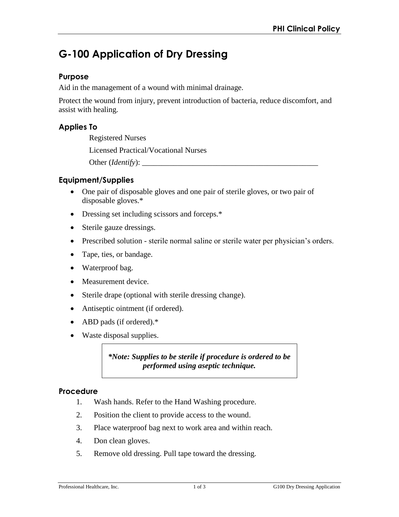# **G-100 Application of Dry Dressing**

### **Purpose**

Aid in the management of a wound with minimal drainage.

Protect the wound from injury, prevent introduction of bacteria, reduce discomfort, and assist with healing.

## **Applies To**

Registered Nurses

Licensed Practical/Vocational Nurses

Other (*Identify*):

## **Equipment/Supplies**

- One pair of disposable gloves and one pair of sterile gloves, or two pair of disposable gloves.\*
- Dressing set including scissors and forceps.\*
- Sterile gauze dressings.
- Prescribed solution sterile normal saline or sterile water per physician's orders.
- Tape, ties, or bandage.
- Waterproof bag.
- Measurement device.
- Sterile drape (optional with sterile dressing change).
- Antiseptic ointment (if ordered).
- ABD pads (if ordered).\*
- Waste disposal supplies.

*\*Note: Supplies to be sterile if procedure is ordered to be performed using aseptic technique.* 

#### **Procedure**

- 1. Wash hands. Refer to the Hand Washing procedure.
- 2. Position the client to provide access to the wound.
- 3. Place waterproof bag next to work area and within reach.
- 4. Don clean gloves.
- 5. Remove old dressing. Pull tape toward the dressing.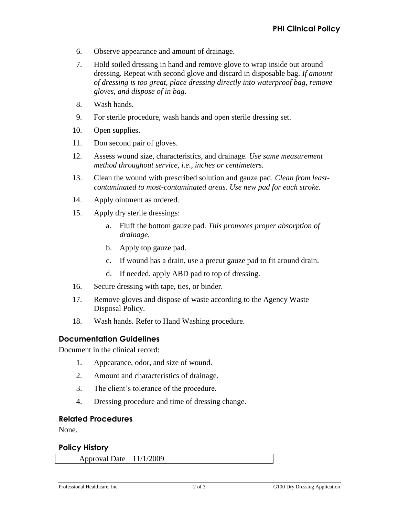- 6. Observe appearance and amount of drainage.
- 7. Hold soiled dressing in hand and remove glove to wrap inside out around dressing. Repeat with second glove and discard in disposable bag. *If amount of dressing is too great, place dressing directly into waterproof bag, remove gloves, and dispose of in bag.*
- 8. Wash hands.
- 9. For sterile procedure, wash hands and open sterile dressing set.
- 10. Open supplies.
- 11. Don second pair of gloves.
- 12. Assess wound size, characteristics, and drainage. *Use same measurement method throughout service, i.e., inches or centimeters.*
- 13. Clean the wound with prescribed solution and gauze pad. *Clean from leastcontaminated to most-contaminated areas. Use new pad for each stroke.*
- 14. Apply ointment as ordered.
- 15. Apply dry sterile dressings:
	- a. Fluff the bottom gauze pad. *This promotes proper absorption of drainage.*
	- b. Apply top gauze pad.
	- c. If wound has a drain, use a precut gauze pad to fit around drain.
	- d. If needed, apply ABD pad to top of dressing.
- 16. Secure dressing with tape, ties, or binder.
- 17. Remove gloves and dispose of waste according to the Agency Waste Disposal Policy.
- 18. Wash hands. Refer to Hand Washing procedure.

#### **Documentation Guidelines**

Document in the clinical record:

- 1. Appearance, odor, and size of wound.
- 2. Amount and characteristics of drainage.
- 3. The client's tolerance of the procedure.
- 4. Dressing procedure and time of dressing change.

#### **Related Procedures**

None.

#### **Policy History**

Approval Date 11/1/2009